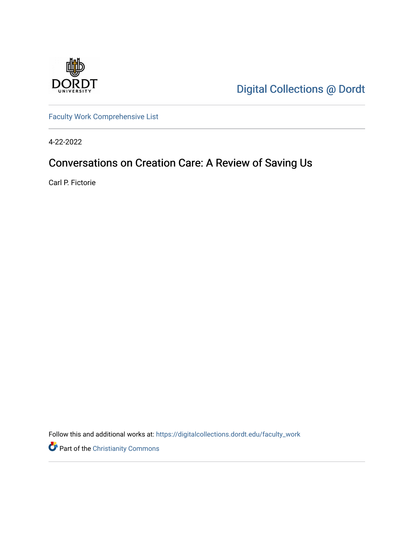

[Digital Collections @ Dordt](https://digitalcollections.dordt.edu/) 

[Faculty Work Comprehensive List](https://digitalcollections.dordt.edu/faculty_work)

4-22-2022

# Conversations on Creation Care: A Review of Saving Us

Carl P. Fictorie

Follow this and additional works at: [https://digitalcollections.dordt.edu/faculty\\_work](https://digitalcollections.dordt.edu/faculty_work?utm_source=digitalcollections.dordt.edu%2Ffaculty_work%2F1382&utm_medium=PDF&utm_campaign=PDFCoverPages) 

Part of the [Christianity Commons](http://network.bepress.com/hgg/discipline/1181?utm_source=digitalcollections.dordt.edu%2Ffaculty_work%2F1382&utm_medium=PDF&utm_campaign=PDFCoverPages)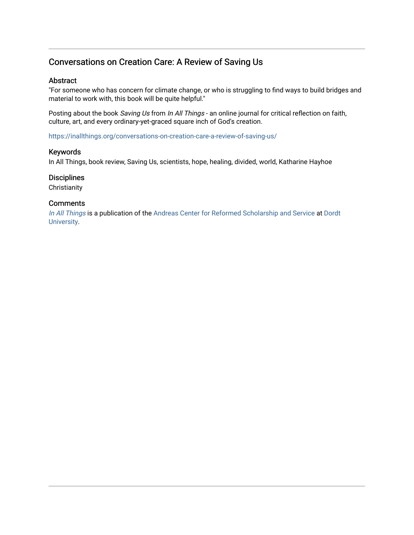## Conversations on Creation Care: A Review of Saving Us

#### Abstract

"For someone who has concern for climate change, or who is struggling to find ways to build bridges and material to work with, this book will be quite helpful."

Posting about the book Saving Us from In All Things - an online journal for critical reflection on faith, culture, art, and every ordinary-yet-graced square inch of God's creation.

<https://inallthings.org/conversations-on-creation-care-a-review-of-saving-us/>

#### Keywords

In All Things, book review, Saving Us, scientists, hope, healing, divided, world, Katharine Hayhoe

#### **Disciplines**

**Christianity** 

#### **Comments**

[In All Things](http://inallthings.org/) is a publication of the [Andreas Center for Reformed Scholarship and Service](http://www.dordt.edu/services_support/andreas_center/) at Dordt [University](http://www.dordt.edu/).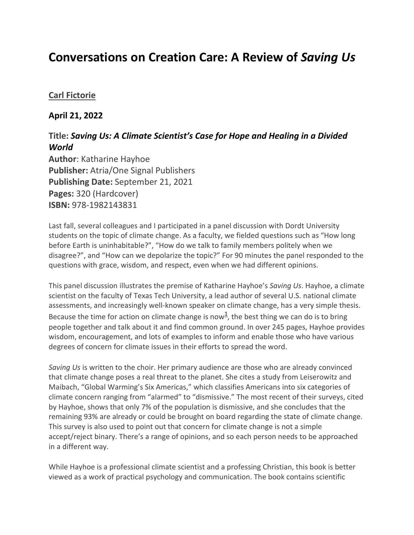# **Conversations on Creation Care: A Review of** *Saving Us*

### **[Carl Fictorie](https://inallthings.org/author/carl-fictorie/)**

### **April 21, 2022**

## **Title:** *Saving Us: A Climate Scientist's Case for Hope and Healing in a Divided World*

**Author**: Katharine Hayhoe **Publisher:** Atria/One Signal Publishers **Publishing Date:** September 21, 2021 **Pages:** 320 (Hardcover) **ISBN:** 978-1982143831

Last fall, several colleagues and I participated in a panel discussion with Dordt University students on the topic of climate change. As a faculty, we fielded questions such as "How long before Earth is uninhabitable?", "How do we talk to family members politely when we disagree?", and "How can we depolarize the topic?" For 90 minutes the panel responded to the questions with grace, wisdom, and respect, even when we had different opinions.

This panel discussion illustrates the premise of Katharine Hayhoe's *Saving Us*. Hayhoe, a climate scientist on the faculty of Texas Tech University, a lead author of several U.S. national climate assessments, and increasingly well-known speaker on climate change, has a very simple thesis. Because the time for action on climate change is now<sup>1</sup>, the best thing we can do is to bring people together and talk about it and find common ground. In over 245 pages, Hayhoe provides wisdom, encouragement, and lots of examples to inform and enable those who have various degrees of concern for climate issues in their efforts to spread the word.

*Saving Us* is written to the choir. Her primary audience are those who are already convinced that climate change poses a real threat to the planet. She cites a study from Leiserowitz and Maibach, "Global Warming's Six Americas," which classifies Americans into six categories of climate concern ranging from "alarmed" to "dismissive." The most recent of their surveys, cited by Hayhoe, shows that only 7% of the population is dismissive, and she concludes that the remaining 93% are already or could be brought on board regarding the state of climate change. This survey is also used to point out that concern for climate change is not a simple accept/reject binary. There's a range of opinions, and so each person needs to be approached in a different way.

While Hayhoe is a professional climate scientist and a professing Christian, this book is better viewed as a work of practical psychology and communication. The book contains scientific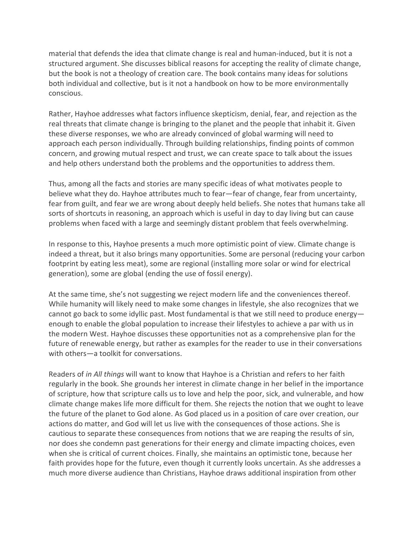material that defends the idea that climate change is real and human-induced, but it is not a structured argument. She discusses biblical reasons for accepting the reality of climate change, but the book is not a theology of creation care. The book contains many ideas for solutions both individual and collective, but is it not a handbook on how to be more environmentally conscious.

Rather, Hayhoe addresses what factors influence skepticism, denial, fear, and rejection as the real threats that climate change is bringing to the planet and the people that inhabit it. Given these diverse responses, we who are already convinced of global warming will need to approach each person individually. Through building relationships, finding points of common concern, and growing mutual respect and trust, we can create space to talk about the issues and help others understand both the problems and the opportunities to address them.

Thus, among all the facts and stories are many specific ideas of what motivates people to believe what they do. Hayhoe attributes much to fear—fear of change, fear from uncertainty, fear from guilt, and fear we are wrong about deeply held beliefs. She notes that humans take all sorts of shortcuts in reasoning, an approach which is useful in day to day living but can cause problems when faced with a large and seemingly distant problem that feels overwhelming.

In response to this, Hayhoe presents a much more optimistic point of view. Climate change is indeed a threat, but it also brings many opportunities. Some are personal (reducing your carbon footprint by eating less meat), some are regional (installing more solar or wind for electrical generation), some are global (ending the use of fossil energy).

At the same time, she's not suggesting we reject modern life and the conveniences thereof. While humanity will likely need to make some changes in lifestyle, she also recognizes that we cannot go back to some idyllic past. Most fundamental is that we still need to produce energy enough to enable the global population to increase their lifestyles to achieve a par with us in the modern West. Hayhoe discusses these opportunities not as a comprehensive plan for the future of renewable energy, but rather as examples for the reader to use in their conversations with others—a toolkit for conversations.

Readers of *in All things* will want to know that Hayhoe is a Christian and refers to her faith regularly in the book. She grounds her interest in climate change in her belief in the importance of scripture, how that scripture calls us to love and help the poor, sick, and vulnerable, and how climate change makes life more difficult for them. She rejects the notion that we ought to leave the future of the planet to God alone. As God placed us in a position of care over creation, our actions do matter, and God will let us live with the consequences of those actions. She is cautious to separate these consequences from notions that we are reaping the results of sin, nor does she condemn past generations for their energy and climate impacting choices, even when she is critical of current choices. Finally, she maintains an optimistic tone, because her faith provides hope for the future, even though it currently looks uncertain. As she addresses a much more diverse audience than Christians, Hayhoe draws additional inspiration from other